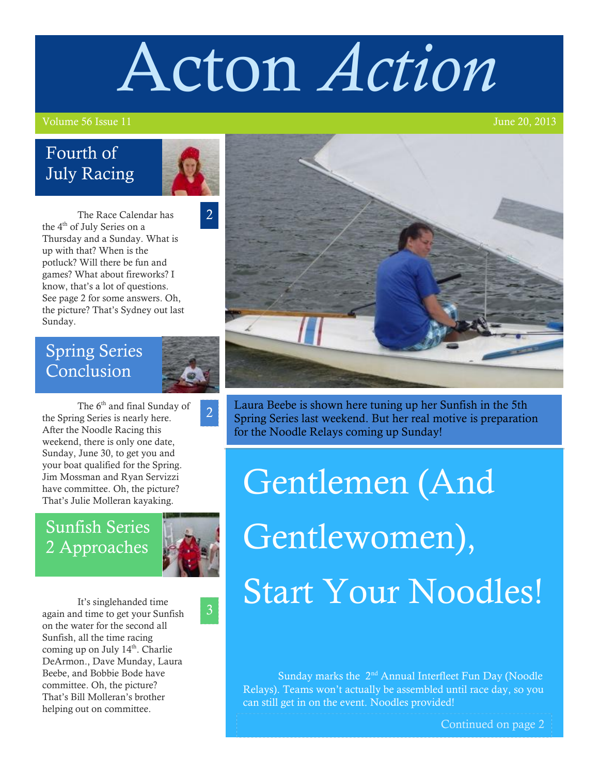# Acton *Action*

#### Volume 56 Issue 11 June 20, 2013

#### Fourth of July Racing



2

The Race Calendar has the 4<sup>th</sup> of July Series on a Thursday and a Sunday. What is up with that? When is the potluck? Will there be fun and games? What about fireworks? I know, that's a lot of questions. See page 2 for some answers. Oh, the picture? That's Sydney out last Sunday.

#### Spring Series **Conclusion**



2

The 6<sup>th</sup> and final Sunday of the Spring Series is nearly here. After the Noodle Racing this weekend, there is only one date, Sunday, June 30, to get you and your boat qualified for the Spring. Jim Mossman and Ryan Servizzi have committee. Oh, the picture?<br>That's Julie Molleran kayaking.

#### Sunfish Series 2 Approaches



3

It's singlehanded time again and time to get your Sunfish on the water for the second all Sunfish, all the time racing coming up on July  $14<sup>th</sup>$ . Charlie DeArmon., Dave Munday, Laura Beebe, and Bobbie Bode have committee. Oh, the picture? That's Bill Molleran's brother helping out on committee.



Laura Beebe is shown here tuning up her Sunfish in the 5th Spring Series last weekend. But her real motive is preparation for the Noodle Relays coming up Sunday!

## Gentlemen (And Gentlewomen), Start Your Noodles!

Sunday marks the 2<sup>nd</sup> Annual Interfleet Fun Day (Noodle) Relays). Teams won't actually be assembled until race day, so you can still get in on the event. Noodles provided!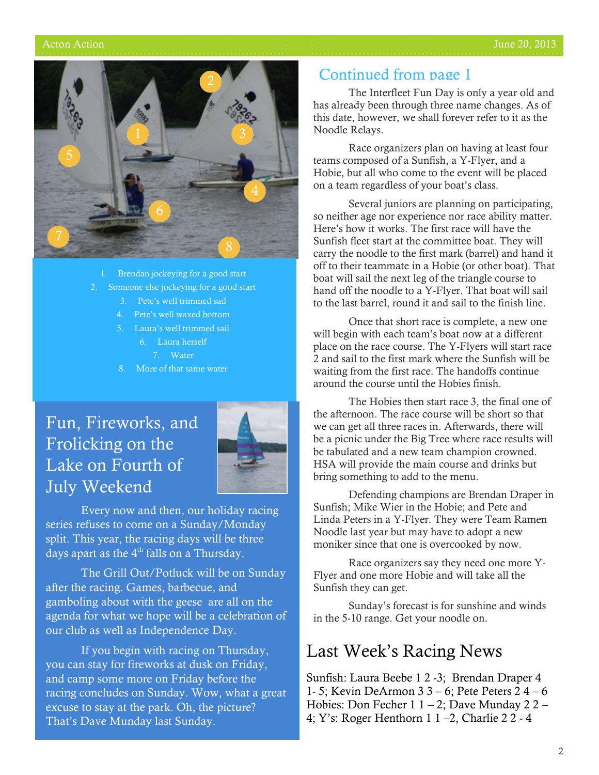

- Brendan jockeying for a good start
- 2. Someone else jockeying for a good start
	- 3. Pete's well trimmed sail
	- 4. Pete's well waxed bottom
	- 5. Laura's well trimmed sail
		- 6. Laura herself
		- 7. Water
	- 8. More of that same water

#### Fun, Fireworks, and Frolicking on the Lake on Fourth of July Weekend



Every now and then, our holiday racing series refuses to come on a Sunday/Monday split. This year, the racing days will be three days apart as the  $4<sup>th</sup>$  falls on a Thursday.

The Grill Out/Potluck will be on Sunday after the racing. Games, barbecue, and gamboling about with the geese are all on the agenda for what we hope will be a celebration of our club as well as Independence Day.

If you begin with racing on Thursday, you can stay for fireworks at dusk on Friday, and camp some more on Friday before the racing concludes on Sunday. Wow, what a great excuse to stay at the park. Oh, the picture? That's Dave Munday last Sunday.

#### Continued from page 1

The Interfleet Fun Day is only a year old and has already been through three name changes. As of this date, however, we shall forever refer to it as the Noodle Relays.

Race organizers plan on having at least four teams composed of a Sunfish, a Y-Flyer, and a Hobie, but all who come to the event will be placed on a team regardless of your boat's class.

Several juniors are planning on participating, so neither age nor experience nor race ability matter. Here's how it works. The first race will have the Sunfish fleet start at the committee boat. They will carry the noodle to the first mark (barrel) and hand it off to their teammate in a Hobie (or other boat). That boat will sail the next leg of the triangle course to hand off the noodle to a Y-Flyer. That boat will sail to the last barrel, round it and sail to the finish line.

Once that short race is complete, a new one will begin with each team's boat now at a different place on the race course. The Y-Flyers will start race 2 and sail to the first mark where the Sunfish will be waiting from the first race. The handoffs continue around the course until the Hobies finish.

The Hobies then start race 3, the final one of the afternoon. The race course will be short so that we can get all three races in. Afterwards, there will be a picnic under the Big Tree where race results will be tabulated and a new team champion crowned. HSA will provide the main course and drinks but bring something to add to the menu.

Defending champions are Brendan Draper in Sunfish; Mike Wier in the Hobie; and Pete and Linda Peters in a Y-Flyer. They were Team Ramen Noodle last year but may have to adopt a new moniker since that one is overcooked by now.

Race organizers say they need one more Y-Flyer and one more Hobie and will take all the Sunfish they can get.

Sunday's forecast is for sunshine and winds in the 5-10 range. Get your noodle on.

#### Last Week's Racing News

Sunfish: Laura Beebe 1 2 -3; Brendan Draper 4 1- 5; Kevin DeArmon 3 3 – 6; Pete Peters 2 4 – 6 Hobies: Don Fecher 1 1 – 2; Dave Munday 2 2 – 4; Y's: Roger Henthorn 1 1 –2, Charlie 2 2 - 4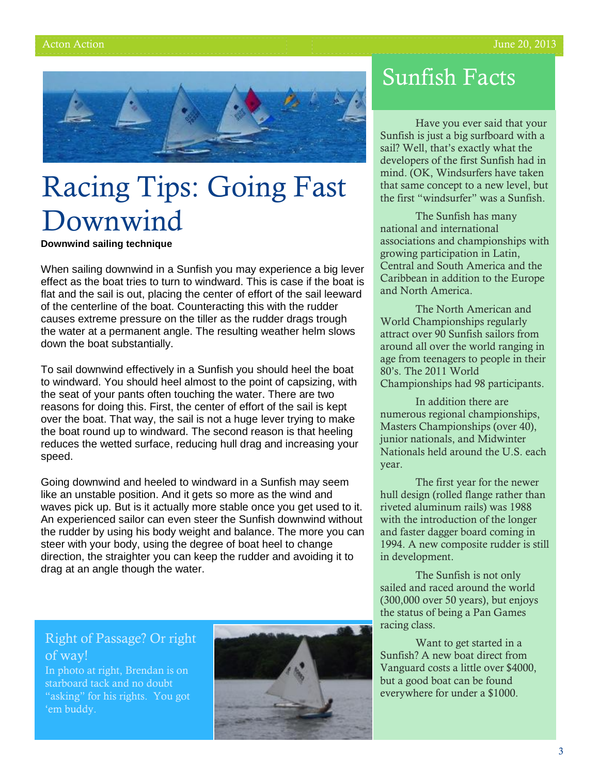

## Racing Tips: Going Fast Downwind

**Downwind sailing technique**

When sailing downwind in a Sunfish you may experience a big lever effect as the boat tries to turn to windward. This is case if the boat is flat and the sail is out, placing the center of effort of the sail leeward of the centerline of the boat. Counteracting this with the rudder causes extreme pressure on the tiller as the rudder drags trough the water at a permanent angle. The resulting weather helm slows down the boat substantially.

To sail downwind effectively in a Sunfish you should heel the boat to windward. You should heel almost to the point of capsizing, with the seat of your pants often touching the water. There are two reasons for doing this. First, the center of effort of the sail is kept over the boat. That way, the sail is not a huge lever trying to make the boat round up to windward. The second reason is that heeling reduces the wetted surface, reducing hull drag and increasing your speed.

Going downwind and heeled to windward in a Sunfish may seem like an unstable position. And it gets so more as the wind and waves pick up. But is it actually more stable once you get used to it. An experienced sailor can even steer the Sunfish downwind without the rudder by using his body weight and balance. The more you can steer with your body, using the degree of boat heel to change direction, the straighter you can keep the rudder and avoiding it to drag at an angle though the water.

#### Sunfish Facts

Have you ever said that your Sunfish is just a big surfboard with a sail? Well, that's exactly what the developers of the first Sunfish had in mind. (OK, Windsurfers have taken that same concept to a new level, but the first "windsurfer" was a Sunfish.

The Sunfish has many national and international associations and championships with growing participation in Latin, Central and South America and the Caribbean in addition to the Europe and North America.

The North American and World Championships regularly attract over 90 Sunfish sailors from around all over the world ranging in age from teenagers to people in their 80's. The 2011 World Championships had 98 participants.

In addition there are numerous regional championships, Masters Championships (over 40), junior nationals, and Midwinter Nationals held around the U.S. each year.

The first year for the newer hull design (rolled flange rather than riveted aluminum rails) was 1988 with the introduction of the longer and faster dagger board coming in 1994. A new composite rudder is still in development.

The Sunfish is not only sailed and raced around the world (300,000 over 50 years), but enjoys the status of being a Pan Games racing class.

Want to get started in a Sunfish? A new boat direct from Vanguard costs a little over \$4000, but a good boat can be found everywhere for under a \$1000.

#### Right of Passage? Or right of way!

In photo at right, Brendan is on starboard tack and no doubt "asking" for his rights. You got 'em buddy.